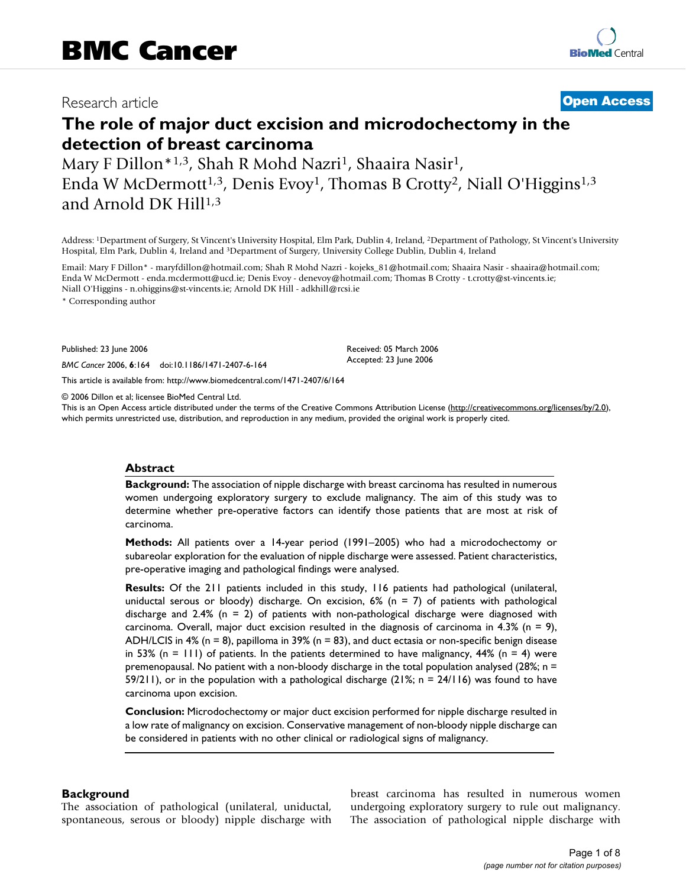# Research article **[Open Access](http://www.biomedcentral.com/info/about/charter/)**

# **The role of major duct excision and microdochectomy in the detection of breast carcinoma**

Mary F Dillon<sup>\*1,3</sup>, Shah R Mohd Nazri<sup>1</sup>, Shaaira Nasir<sup>1</sup>, Enda W McDermott<sup>1,3</sup>, Denis Evoy<sup>1</sup>, Thomas B Crotty<sup>2</sup>, Niall O'Higgins<sup>1,3</sup> and Arnold DK Hill<sup>1,3</sup>

Address: 1Department of Surgery, St Vincent's University Hospital, Elm Park, Dublin 4, Ireland, 2Department of Pathology, St Vincent's University Hospital, Elm Park, Dublin 4, Ireland and 3Department of Surgery, University College Dublin, Dublin 4, Ireland

Email: Mary F Dillon\* - maryfdillon@hotmail.com; Shah R Mohd Nazri - kojeks\_81@hotmail.com; Shaaira Nasir - shaaira@hotmail.com; Enda W McDermott - enda.mcdermott@ucd.ie; Denis Evoy - denevoy@hotmail.com; Thomas B Crotty - t.crotty@st-vincents.ie; Niall O'Higgins - n.ohiggins@st-vincents.ie; Arnold DK Hill - adkhill@rcsi.ie

\* Corresponding author

Published: 23 June 2006

*BMC Cancer* 2006, **6**:164 doi:10.1186/1471-2407-6-164

[This article is available from: http://www.biomedcentral.com/1471-2407/6/164](http://www.biomedcentral.com/1471-2407/6/164)

© 2006 Dillon et al; licensee BioMed Central Ltd.

This is an Open Access article distributed under the terms of the Creative Commons Attribution License [\(http://creativecommons.org/licenses/by/2.0\)](http://creativecommons.org/licenses/by/2.0), which permits unrestricted use, distribution, and reproduction in any medium, provided the original work is properly cited.

Received: 05 March 2006 Accepted: 23 June 2006

#### **Abstract**

**Background:** The association of nipple discharge with breast carcinoma has resulted in numerous women undergoing exploratory surgery to exclude malignancy. The aim of this study was to determine whether pre-operative factors can identify those patients that are most at risk of carcinoma.

**Methods:** All patients over a 14-year period (1991–2005) who had a microdochectomy or subareolar exploration for the evaluation of nipple discharge were assessed. Patient characteristics, pre-operative imaging and pathological findings were analysed.

**Results:** Of the 211 patients included in this study, 116 patients had pathological (unilateral, uniductal serous or bloody) discharge. On excision,  $6\%$  (n = 7) of patients with pathological discharge and 2.4% ( $n = 2$ ) of patients with non-pathological discharge were diagnosed with carcinoma. Overall, major duct excision resulted in the diagnosis of carcinoma in 4.3% ( $n = 9$ ), ADH/LCIS in 4% (n = 8), papilloma in 39% (n = 83), and duct ectasia or non-specific benign disease in 53% (n = 111) of patients. In the patients determined to have malignancy,  $44%$  (n = 4) were premenopausal. No patient with a non-bloody discharge in the total population analysed (28%; n = 59/211), or in the population with a pathological discharge (21%;  $n = 24/116$ ) was found to have carcinoma upon excision.

**Conclusion:** Microdochectomy or major duct excision performed for nipple discharge resulted in a low rate of malignancy on excision. Conservative management of non-bloody nipple discharge can be considered in patients with no other clinical or radiological signs of malignancy.

#### **Background**

The association of pathological (unilateral, uniductal, spontaneous, serous or bloody) nipple discharge with breast carcinoma has resulted in numerous women undergoing exploratory surgery to rule out malignancy. The association of pathological nipple discharge with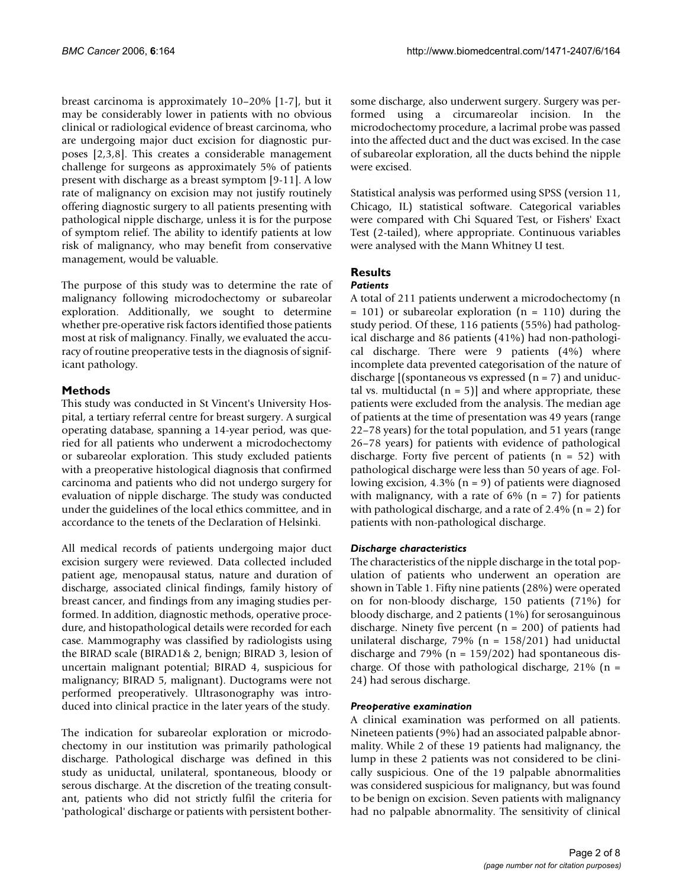breast carcinoma is approximately 10–20% [1-7], but it may be considerably lower in patients with no obvious clinical or radiological evidence of breast carcinoma, who are undergoing major duct excision for diagnostic purposes [2,3,8]. This creates a considerable management challenge for surgeons as approximately 5% of patients present with discharge as a breast symptom [9-11]. A low rate of malignancy on excision may not justify routinely offering diagnostic surgery to all patients presenting with pathological nipple discharge, unless it is for the purpose of symptom relief. The ability to identify patients at low risk of malignancy, who may benefit from conservative management, would be valuable.

The purpose of this study was to determine the rate of malignancy following microdochectomy or subareolar exploration. Additionally, we sought to determine whether pre-operative risk factors identified those patients most at risk of malignancy. Finally, we evaluated the accuracy of routine preoperative tests in the diagnosis of significant pathology.

### **Methods**

This study was conducted in St Vincent's University Hospital, a tertiary referral centre for breast surgery. A surgical operating database, spanning a 14-year period, was queried for all patients who underwent a microdochectomy or subareolar exploration. This study excluded patients with a preoperative histological diagnosis that confirmed carcinoma and patients who did not undergo surgery for evaluation of nipple discharge. The study was conducted under the guidelines of the local ethics committee, and in accordance to the tenets of the Declaration of Helsinki.

All medical records of patients undergoing major duct excision surgery were reviewed. Data collected included patient age, menopausal status, nature and duration of discharge, associated clinical findings, family history of breast cancer, and findings from any imaging studies performed. In addition, diagnostic methods, operative procedure, and histopathological details were recorded for each case. Mammography was classified by radiologists using the BIRAD scale (BIRAD1& 2, benign; BIRAD 3, lesion of uncertain malignant potential; BIRAD 4, suspicious for malignancy; BIRAD 5, malignant). Ductograms were not performed preoperatively. Ultrasonography was introduced into clinical practice in the later years of the study.

The indication for subareolar exploration or microdochectomy in our institution was primarily pathological discharge. Pathological discharge was defined in this study as uniductal, unilateral, spontaneous, bloody or serous discharge. At the discretion of the treating consultant, patients who did not strictly fulfil the criteria for 'pathological' discharge or patients with persistent bothersome discharge, also underwent surgery. Surgery was performed using a circumareolar incision. In the microdochectomy procedure, a lacrimal probe was passed into the affected duct and the duct was excised. In the case of subareolar exploration, all the ducts behind the nipple were excised.

Statistical analysis was performed using SPSS (version 11, Chicago, IL) statistical software. Categorical variables were compared with Chi Squared Test, or Fishers' Exact Test (2-tailed), where appropriate. Continuous variables were analysed with the Mann Whitney U test.

## **Results**

#### *Patients*

A total of 211 patients underwent a microdochectomy (n  $= 101$ ) or subareolar exploration (n  $= 110$ ) during the study period. Of these, 116 patients (55%) had pathological discharge and 86 patients (41%) had non-pathological discharge. There were 9 patients (4%) where incomplete data prevented categorisation of the nature of discharge [(spontaneous vs expressed  $(n = 7)$  and uniductal vs. multiductal  $(n = 5)$ ] and where appropriate, these patients were excluded from the analysis. The median age of patients at the time of presentation was 49 years (range 22–78 years) for the total population, and 51 years (range 26–78 years) for patients with evidence of pathological discharge. Forty five percent of patients  $(n = 52)$  with pathological discharge were less than 50 years of age. Following excision, 4.3% (n = 9) of patients were diagnosed with malignancy, with a rate of  $6\%$  (n = 7) for patients with pathological discharge, and a rate of 2.4% ( $n = 2$ ) for patients with non-pathological discharge.

#### *Discharge characteristics*

The characteristics of the nipple discharge in the total population of patients who underwent an operation are shown in Table 1. Fifty nine patients (28%) were operated on for non-bloody discharge, 150 patients (71%) for bloody discharge, and 2 patients (1%) for serosanguinous discharge. Ninety five percent  $(n = 200)$  of patients had unilateral discharge, 79% (n = 158/201) had uniductal discharge and 79% ( $n = 159/202$ ) had spontaneous discharge. Of those with pathological discharge,  $21\%$  (n = 24) had serous discharge.

#### *Preoperative examination*

A clinical examination was performed on all patients. Nineteen patients (9%) had an associated palpable abnormality. While 2 of these 19 patients had malignancy, the lump in these 2 patients was not considered to be clinically suspicious. One of the 19 palpable abnormalities was considered suspicious for malignancy, but was found to be benign on excision. Seven patients with malignancy had no palpable abnormality. The sensitivity of clinical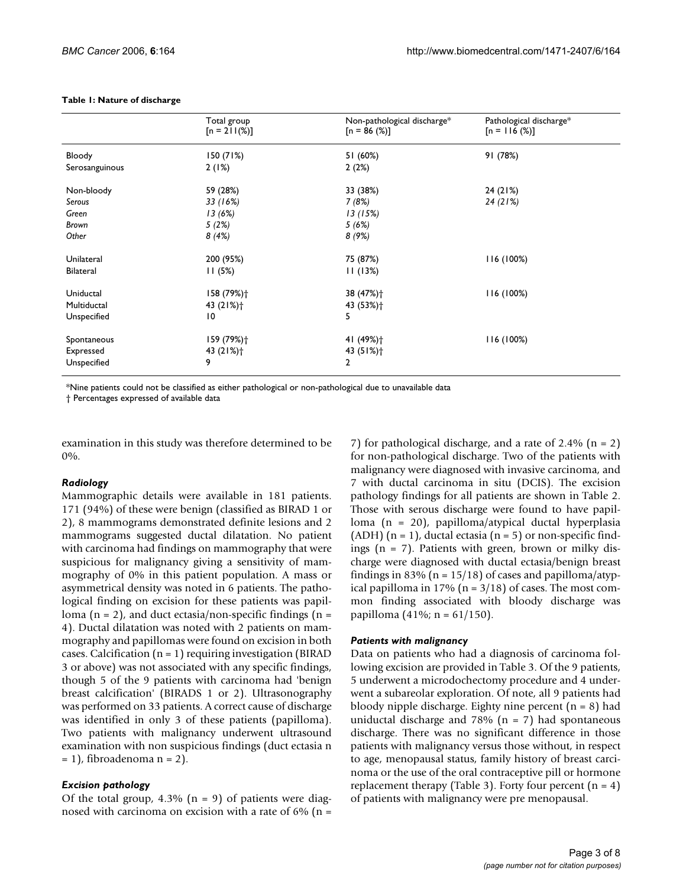#### **Table 1: Nature of discharge**

|                | Total group<br>$[n = 211(\%)]$ | Non-pathological discharge*<br>$[n = 86 (%)]$ | Pathological discharge*<br>$[n = 116 (%)]$ |  |
|----------------|--------------------------------|-----------------------------------------------|--------------------------------------------|--|
| Bloody         | 150(71%)                       | 51 (60%)                                      | 91 (78%)                                   |  |
| Serosanguinous | 2(1%)                          | 2(2%)                                         |                                            |  |
| Non-bloody     | 59 (28%)                       | 33 (38%)                                      | 24 (21%)                                   |  |
| Serous         | 33 (16%)                       | 7(8%)                                         | 24 (21%)                                   |  |
| Green          | 13(6%)                         | 13(15%)                                       |                                            |  |
| Brown          | 5(2%)                          | 5(6%)                                         |                                            |  |
| Other          | 8(4%)                          | 8(9%)                                         |                                            |  |
| Unilateral     | 200 (95%)                      | 75 (87%)                                      | 116 (100%)                                 |  |
| Bilateral      | 11(5%)                         | 11(13%)                                       |                                            |  |
| Uniductal      | 158 (79%) <sup>+</sup>         | 38 (47%) <sup>+</sup>                         | 116 (100%)                                 |  |
| Multiductal    | $43(21%)\uparrow$              | 43 (53%) <sup>+</sup>                         |                                            |  |
| Unspecified    | 10                             | 5                                             |                                            |  |
| Spontaneous    | 159 (79%) <sup>+</sup>         | 41 (49%) †                                    | 116 (100%)                                 |  |
| Expressed      | $43(21%)\uparrow$              | 43 (51%)†                                     |                                            |  |
| Unspecified    | 9                              | $\overline{2}$                                |                                            |  |

\*Nine patients could not be classified as either pathological or non-pathological due to unavailable data

† Percentages expressed of available data

examination in this study was therefore determined to be 0%.

#### *Radiology*

Mammographic details were available in 181 patients. 171 (94%) of these were benign (classified as BIRAD 1 or 2), 8 mammograms demonstrated definite lesions and 2 mammograms suggested ductal dilatation. No patient with carcinoma had findings on mammography that were suspicious for malignancy giving a sensitivity of mammography of 0% in this patient population. A mass or asymmetrical density was noted in 6 patients. The pathological finding on excision for these patients was papilloma  $(n = 2)$ , and duct ectasia/non-specific findings  $(n = 1)$ 4). Ductal dilatation was noted with 2 patients on mammography and papillomas were found on excision in both cases. Calcification  $(n = 1)$  requiring investigation (BIRAD 3 or above) was not associated with any specific findings, though 5 of the 9 patients with carcinoma had 'benign breast calcification' (BIRADS 1 or 2). Ultrasonography was performed on 33 patients. A correct cause of discharge was identified in only 3 of these patients (papilloma). Two patients with malignancy underwent ultrasound examination with non suspicious findings (duct ectasia n  $= 1$ ), fibroadenoma n  $= 2$ ).

#### *Excision pathology*

Of the total group, 4.3% ( $n = 9$ ) of patients were diagnosed with carcinoma on excision with a rate of  $6\%$  (n =

7) for pathological discharge, and a rate of  $2.4\%$  (n = 2) for non-pathological discharge. Two of the patients with malignancy were diagnosed with invasive carcinoma, and 7 with ductal carcinoma in situ (DCIS). The excision pathology findings for all patients are shown in Table 2. Those with serous discharge were found to have papilloma (n = 20), papilloma/atypical ductal hyperplasia (ADH)  $(n = 1)$ , ductal ectasia  $(n = 5)$  or non-specific findings (n = 7). Patients with green, brown or milky discharge were diagnosed with ductal ectasia/benign breast findings in 83% ( $n = 15/18$ ) of cases and papilloma/atypical papilloma in 17% ( $n = 3/18$ ) of cases. The most common finding associated with bloody discharge was papilloma (41%;  $n = 61/150$ ).

#### *Patients with malignancy*

Data on patients who had a diagnosis of carcinoma following excision are provided in Table 3. Of the 9 patients, 5 underwent a microdochectomy procedure and 4 underwent a subareolar exploration. Of note, all 9 patients had bloody nipple discharge. Eighty nine percent  $(n = 8)$  had uniductal discharge and  $78\%$  (n = 7) had spontaneous discharge. There was no significant difference in those patients with malignancy versus those without, in respect to age, menopausal status, family history of breast carcinoma or the use of the oral contraceptive pill or hormone replacement therapy (Table 3). Forty four percent  $(n = 4)$ of patients with malignancy were pre menopausal.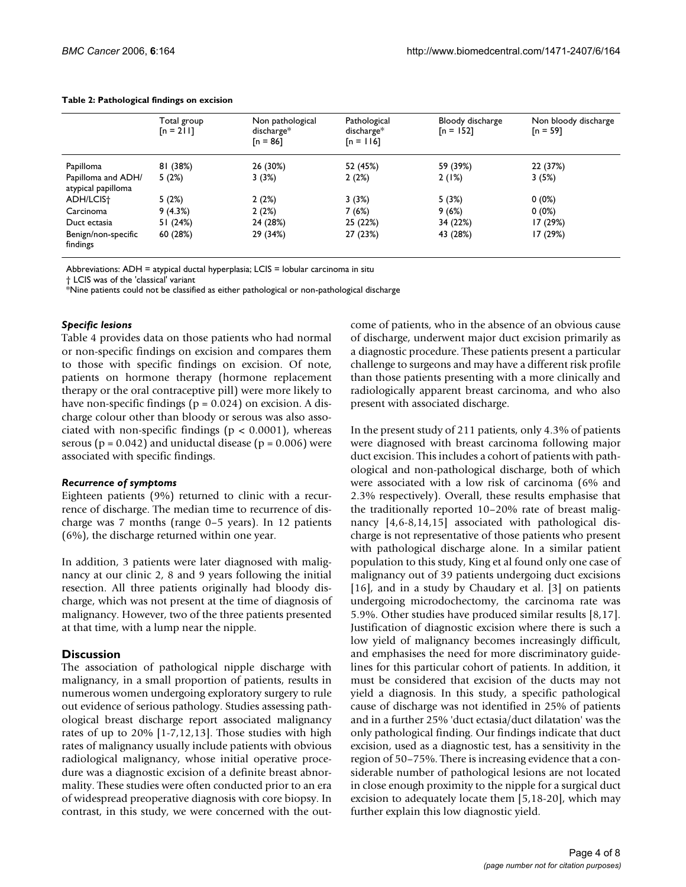|                                          | Total group<br>$[n = 211]$ | Non pathological<br>discharge*<br>[n = 86] | Pathological<br>discharge*<br>$[n = 116]$ | Bloody discharge<br>$[n = 152]$ | Non bloody discharge<br>$[n = 59]$ |
|------------------------------------------|----------------------------|--------------------------------------------|-------------------------------------------|---------------------------------|------------------------------------|
|                                          |                            |                                            |                                           |                                 |                                    |
| Papilloma                                | 81 (38%)                   | 26 (30%)                                   | 52 (45%)                                  | 59 (39%)                        | 22 (37%)                           |
| Papilloma and ADH/<br>atypical papilloma | 5(2%)                      | 3(3%)                                      | 2(2%)                                     | 2(1%)                           | 3(5%)                              |
| ADH/LCIS+                                | 5(2%)                      | 2(2%)                                      | 3(3%)                                     | 5(3%)                           | $0(0\%)$                           |
| Carcinoma                                | 9(4.3%)                    | 2(2%)                                      | 7(6%)                                     | 9(6%)                           | $0(0\%)$                           |
| Duct ectasia                             | 51(24%)                    | 24 (28%)                                   | 25 (22%)                                  | 34 (22%)                        | 17(29%)                            |
| Benign/non-specific<br>findings          | 60 (28%)                   | 29 (34%)                                   | 27 (23%)                                  | 43 (28%)                        | 17 (29%)                           |

#### **Table 2: Pathological findings on excision**

Abbreviations: ADH = atypical ductal hyperplasia; LCIS = lobular carcinoma in situ

† LCIS was of the 'classical' variant

\*Nine patients could not be classified as either pathological or non-pathological discharge

#### *Specific lesions*

Table 4 provides data on those patients who had normal or non-specific findings on excision and compares them to those with specific findings on excision. Of note, patients on hormone therapy (hormone replacement therapy or the oral contraceptive pill) were more likely to have non-specific findings (p = 0.024) on excision. A discharge colour other than bloody or serous was also associated with non-specific findings ( $p < 0.0001$ ), whereas serous ( $p = 0.042$ ) and uniductal disease ( $p = 0.006$ ) were associated with specific findings.

#### *Recurrence of symptoms*

Eighteen patients (9%) returned to clinic with a recurrence of discharge. The median time to recurrence of discharge was 7 months (range 0–5 years). In 12 patients (6%), the discharge returned within one year.

In addition, 3 patients were later diagnosed with malignancy at our clinic 2, 8 and 9 years following the initial resection. All three patients originally had bloody discharge, which was not present at the time of diagnosis of malignancy. However, two of the three patients presented at that time, with a lump near the nipple.

#### **Discussion**

The association of pathological nipple discharge with malignancy, in a small proportion of patients, results in numerous women undergoing exploratory surgery to rule out evidence of serious pathology. Studies assessing pathological breast discharge report associated malignancy rates of up to 20% [1-7,12,13]. Those studies with high rates of malignancy usually include patients with obvious radiological malignancy, whose initial operative procedure was a diagnostic excision of a definite breast abnormality. These studies were often conducted prior to an era of widespread preoperative diagnosis with core biopsy. In contrast, in this study, we were concerned with the outcome of patients, who in the absence of an obvious cause of discharge, underwent major duct excision primarily as a diagnostic procedure. These patients present a particular challenge to surgeons and may have a different risk profile than those patients presenting with a more clinically and radiologically apparent breast carcinoma, and who also present with associated discharge.

In the present study of 211 patients, only 4.3% of patients were diagnosed with breast carcinoma following major duct excision. This includes a cohort of patients with pathological and non-pathological discharge, both of which were associated with a low risk of carcinoma (6% and 2.3% respectively). Overall, these results emphasise that the traditionally reported 10–20% rate of breast malignancy [4,6-8,14,15] associated with pathological discharge is not representative of those patients who present with pathological discharge alone. In a similar patient population to this study, King et al found only one case of malignancy out of 39 patients undergoing duct excisions [16], and in a study by Chaudary et al. [3] on patients undergoing microdochectomy, the carcinoma rate was 5.9%. Other studies have produced similar results [8,17]. Justification of diagnostic excision where there is such a low yield of malignancy becomes increasingly difficult, and emphasises the need for more discriminatory guidelines for this particular cohort of patients. In addition, it must be considered that excision of the ducts may not yield a diagnosis. In this study, a specific pathological cause of discharge was not identified in 25% of patients and in a further 25% 'duct ectasia/duct dilatation' was the only pathological finding. Our findings indicate that duct excision, used as a diagnostic test, has a sensitivity in the region of 50–75%. There is increasing evidence that a considerable number of pathological lesions are not located in close enough proximity to the nipple for a surgical duct excision to adequately locate them [5,18-20], which may further explain this low diagnostic yield.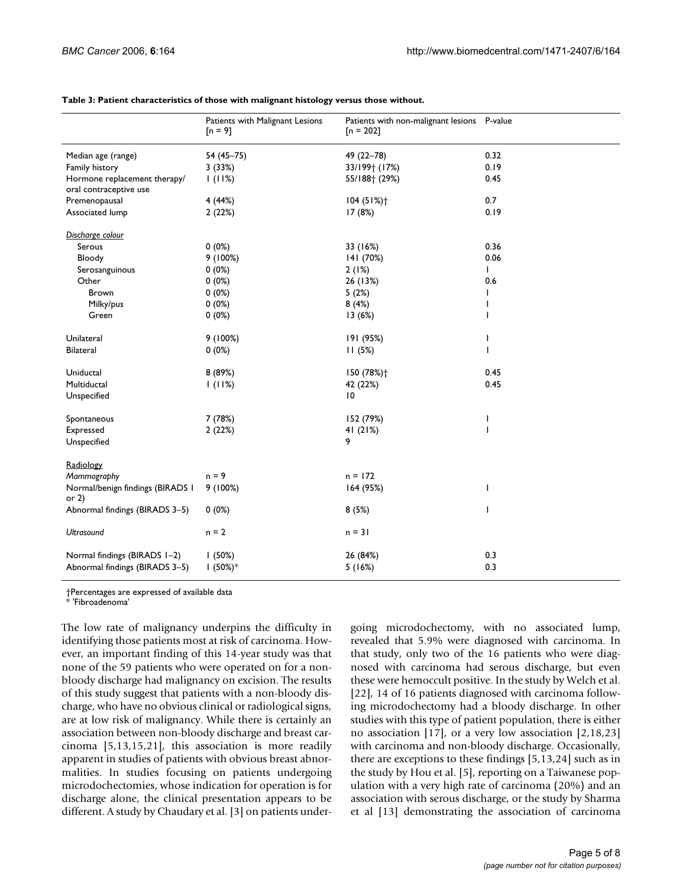|                                                        | Patients with Malignant Lesions<br>$[n = 9]$ | Patients with non-malignant lesions P-value<br>$[n = 202]$ |      |
|--------------------------------------------------------|----------------------------------------------|------------------------------------------------------------|------|
| Median age (range)                                     | 54 (45-75)                                   | 49 (22-78)                                                 | 0.32 |
| Family history                                         | 3(33%)                                       | 33/199 <sup>+</sup> (17%)                                  | 0.19 |
| Hormone replacement therapy/<br>oral contraceptive use | 1(11%)                                       | 55/188+ (29%)                                              | 0.45 |
| Premenopausal                                          | 4(44%)                                       | $104(51%)$ <sup>+</sup>                                    | 0.7  |
| Associated lump                                        | 2(22%)                                       | 17 (8%)                                                    | 0.19 |
| Discharge colour                                       |                                              |                                                            |      |
| Serous                                                 | 0(0%)                                        | 33 (16%)                                                   | 0.36 |
| Bloody                                                 | 9(100%)                                      | 141 (70%)                                                  | 0.06 |
| Serosanguinous                                         | $0(0\%)$                                     | 2(1%)                                                      | L    |
| Other                                                  | 0(0%)                                        | 26 (13%)                                                   | 0.6  |
| <b>Brown</b>                                           | 0(0%)                                        | 5(2%)                                                      |      |
| Milky/pus                                              | $0(0\%)$                                     | 8(4%)                                                      | ı    |
| Green                                                  | 0(0%)                                        | 13(6%)                                                     |      |
| Unilateral                                             | 9(100%)                                      | 191 (95%)                                                  | ш    |
| <b>Bilateral</b>                                       | $0(0\%)$                                     | 11(5%)                                                     |      |
| Uniductal                                              | 8 (89%)                                      | 150 (78%) <sup>+</sup>                                     | 0.45 |
| Multiductal                                            | 1(11%)                                       | 42 (22%)                                                   | 0.45 |
| Unspecified                                            |                                              | $\overline{10}$                                            |      |
| Spontaneous                                            | 7 (78%)                                      | 152 (79%)                                                  | ı    |
| Expressed                                              | 2(22%)                                       | 41 $(21%)$                                                 | ı    |
| Unspecified                                            |                                              | 9                                                          |      |
| Radiology                                              |                                              |                                                            |      |
| Mammography                                            | $n = 9$                                      | $n = 172$                                                  |      |
| Normal/benign findings (BIRADS I<br>or $2)$            | 9(100%)                                      | 164 (95%)                                                  | I    |
| Abnormal findings (BIRADS 3-5)                         | $0(0\%)$                                     | 8(5%)                                                      | ı    |
| <b>Ultrasound</b>                                      | $n = 2$                                      | $n = 31$                                                   |      |
| Normal findings (BIRADS 1-2)                           | 1(50%)                                       | 26 (84%)                                                   | 0.3  |
| Abnormal findings (BIRADS 3-5)                         | $1(50\%)*$                                   | 5 (16%)                                                    | 0.3  |

#### **Table 3: Patient characteristics of those with malignant histology versus those without.**

†Percentages are expressed of available data

\* 'Fibroadenoma'

The low rate of malignancy underpins the difficulty in identifying those patients most at risk of carcinoma. However, an important finding of this 14-year study was that none of the 59 patients who were operated on for a nonbloody discharge had malignancy on excision. The results of this study suggest that patients with a non-bloody discharge, who have no obvious clinical or radiological signs, are at low risk of malignancy. While there is certainly an association between non-bloody discharge and breast carcinoma [5,13,15,21], this association is more readily apparent in studies of patients with obvious breast abnormalities. In studies focusing on patients undergoing microdochectomies, whose indication for operation is for discharge alone, the clinical presentation appears to be different. A study by Chaudary et al. [3] on patients undergoing microdochectomy, with no associated lump, revealed that 5.9% were diagnosed with carcinoma. In that study, only two of the 16 patients who were diagnosed with carcinoma had serous discharge, but even these were hemoccult positive. In the study by Welch et al. [22], 14 of 16 patients diagnosed with carcinoma following microdochectomy had a bloody discharge. In other studies with this type of patient population, there is either no association [17], or a very low association [2,18,23] with carcinoma and non-bloody discharge. Occasionally, there are exceptions to these findings [5,13,24] such as in the study by Hou et al. [5], reporting on a Taiwanese population with a very high rate of carcinoma (20%) and an association with serous discharge, or the study by Sharma et al [13] demonstrating the association of carcinoma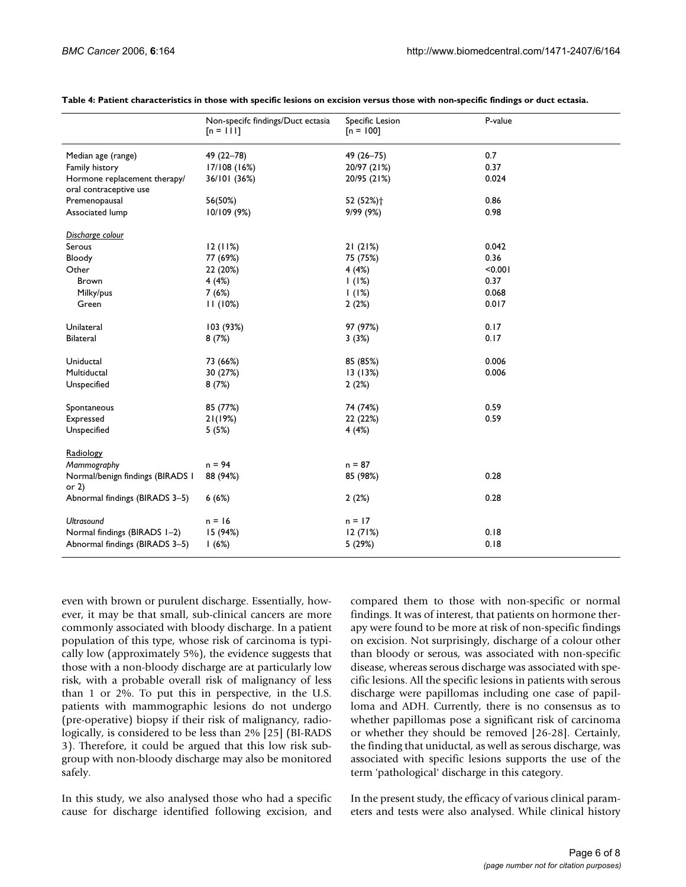|                                             | Non-specifc findings/Duct ectasia<br>$[n = 111]$ | Specific Lesion<br>$[n = 100]$ | P-value |
|---------------------------------------------|--------------------------------------------------|--------------------------------|---------|
| Median age (range)                          | 49 (22-78)                                       | 49 (26-75)                     | 0.7     |
| Family history                              | 17/108 (16%)                                     | 20/97 (21%)                    | 0.37    |
| Hormone replacement therapy/                | 36/101 (36%)                                     | 20/95 (21%)                    | 0.024   |
| oral contraceptive use                      |                                                  |                                |         |
| Premenopausal                               | 56(50%)                                          | 52 (52%) <sup>+</sup>          | 0.86    |
| Associated lump                             | 10/109 (9%)                                      | 9/99(9%)                       | 0.98    |
| Discharge colour                            |                                                  |                                |         |
| Serous                                      | 12(11%)                                          | 21(21%)                        | 0.042   |
| Bloody                                      | 77 (69%)                                         | 75 (75%)                       | 0.36    |
| Other                                       | 22 (20%)                                         | 4(4%)                          | < 0.001 |
| Brown                                       | 4(4%)                                            | 1(1%)                          | 0.37    |
| Milky/pus                                   | 7(6%)                                            | 1(1%)                          | 0.068   |
| Green                                       | 11(10%)                                          | 2(2%)                          | 0.017   |
| Unilateral                                  | 103 (93%)                                        | 97 (97%)                       | 0.17    |
| Bilateral                                   | 8(7%)                                            | 3(3%)                          | 0.17    |
| Uniductal                                   | 73 (66%)                                         | 85 (85%)                       | 0.006   |
| Multiductal                                 | 30 (27%)                                         | 13(13%)                        | 0.006   |
| Unspecified                                 | 8(7%)                                            | 2(2%)                          |         |
| Spontaneous                                 | 85 (77%)                                         | 74 (74%)                       | 0.59    |
| Expressed                                   | 21(19%)                                          | 22 (22%)                       | 0.59    |
| Unspecified                                 | 5(5%)                                            | 4(4%)                          |         |
| Radiology                                   |                                                  |                                |         |
| Mammography                                 | $n = 94$                                         | $n = 87$                       |         |
| Normal/benign findings (BIRADS I<br>or $2)$ | 88 (94%)                                         | 85 (98%)                       | 0.28    |
| Abnormal findings (BIRADS 3-5)              | 6(6%)                                            | 2(2%)                          | 0.28    |
| <b>Ultrasound</b>                           | $n = 16$                                         | $n = 17$                       |         |
| Normal findings (BIRADS 1-2)                | 15 (94%)                                         | 12(71%)                        | 0.18    |
| Abnormal findings (BIRADS 3-5)              | 1(6%)                                            | 5 (29%)                        | 0.18    |

**Table 4: Patient characteristics in those with specific lesions on excision versus those with non-specific findings or duct ectasia.**

even with brown or purulent discharge. Essentially, however, it may be that small, sub-clinical cancers are more commonly associated with bloody discharge. In a patient population of this type, whose risk of carcinoma is typically low (approximately 5%), the evidence suggests that those with a non-bloody discharge are at particularly low risk, with a probable overall risk of malignancy of less than 1 or 2%. To put this in perspective, in the U.S. patients with mammographic lesions do not undergo (pre-operative) biopsy if their risk of malignancy, radiologically, is considered to be less than 2% [25] (BI-RADS 3). Therefore, it could be argued that this low risk subgroup with non-bloody discharge may also be monitored safely.

In this study, we also analysed those who had a specific cause for discharge identified following excision, and

compared them to those with non-specific or normal findings. It was of interest, that patients on hormone therapy were found to be more at risk of non-specific findings on excision. Not surprisingly, discharge of a colour other than bloody or serous, was associated with non-specific disease, whereas serous discharge was associated with specific lesions. All the specific lesions in patients with serous discharge were papillomas including one case of papilloma and ADH. Currently, there is no consensus as to whether papillomas pose a significant risk of carcinoma or whether they should be removed [26-28]. Certainly, the finding that uniductal, as well as serous discharge, was associated with specific lesions supports the use of the term 'pathological' discharge in this category.

In the present study, the efficacy of various clinical parameters and tests were also analysed. While clinical history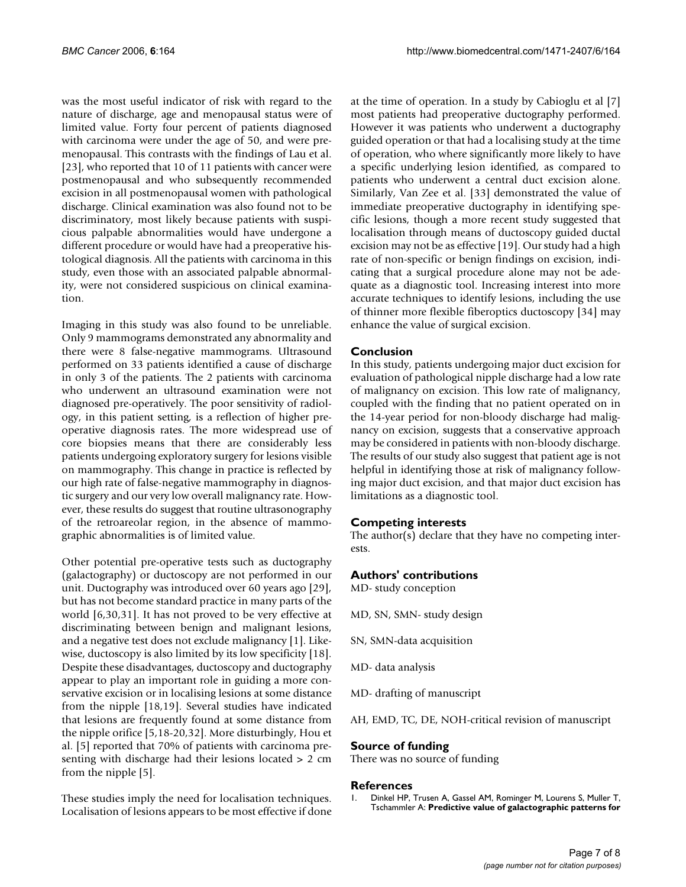was the most useful indicator of risk with regard to the nature of discharge, age and menopausal status were of limited value. Forty four percent of patients diagnosed with carcinoma were under the age of 50, and were premenopausal. This contrasts with the findings of Lau et al. [23], who reported that 10 of 11 patients with cancer were postmenopausal and who subsequently recommended excision in all postmenopausal women with pathological discharge. Clinical examination was also found not to be discriminatory, most likely because patients with suspicious palpable abnormalities would have undergone a different procedure or would have had a preoperative histological diagnosis. All the patients with carcinoma in this study, even those with an associated palpable abnormality, were not considered suspicious on clinical examination.

Imaging in this study was also found to be unreliable. Only 9 mammograms demonstrated any abnormality and there were 8 false-negative mammograms. Ultrasound performed on 33 patients identified a cause of discharge in only 3 of the patients. The 2 patients with carcinoma who underwent an ultrasound examination were not diagnosed pre-operatively. The poor sensitivity of radiology, in this patient setting, is a reflection of higher preoperative diagnosis rates. The more widespread use of core biopsies means that there are considerably less patients undergoing exploratory surgery for lesions visible on mammography. This change in practice is reflected by our high rate of false-negative mammography in diagnostic surgery and our very low overall malignancy rate. However, these results do suggest that routine ultrasonography of the retroareolar region, in the absence of mammographic abnormalities is of limited value.

Other potential pre-operative tests such as ductography (galactography) or ductoscopy are not performed in our unit. Ductography was introduced over 60 years ago [29], but has not become standard practice in many parts of the world [6,30,31]. It has not proved to be very effective at discriminating between benign and malignant lesions, and a negative test does not exclude malignancy [1]. Likewise, ductoscopy is also limited by its low specificity [18]. Despite these disadvantages, ductoscopy and ductography appear to play an important role in guiding a more conservative excision or in localising lesions at some distance from the nipple [18,19]. Several studies have indicated that lesions are frequently found at some distance from the nipple orifice [5,18-20,32]. More disturbingly, Hou et al. [5] reported that 70% of patients with carcinoma presenting with discharge had their lesions located > 2 cm from the nipple [5].

These studies imply the need for localisation techniques. Localisation of lesions appears to be most effective if done at the time of operation. In a study by Cabioglu et al [7] most patients had preoperative ductography performed. However it was patients who underwent a ductography guided operation or that had a localising study at the time of operation, who where significantly more likely to have a specific underlying lesion identified, as compared to patients who underwent a central duct excision alone. Similarly, Van Zee et al. [33] demonstrated the value of immediate preoperative ductography in identifying specific lesions, though a more recent study suggested that localisation through means of ductoscopy guided ductal excision may not be as effective [19]. Our study had a high rate of non-specific or benign findings on excision, indicating that a surgical procedure alone may not be adequate as a diagnostic tool. Increasing interest into more accurate techniques to identify lesions, including the use of thinner more flexible fiberoptics ductoscopy [34] may enhance the value of surgical excision.

#### **Conclusion**

In this study, patients undergoing major duct excision for evaluation of pathological nipple discharge had a low rate of malignancy on excision. This low rate of malignancy, coupled with the finding that no patient operated on in the 14-year period for non-bloody discharge had malignancy on excision, suggests that a conservative approach may be considered in patients with non-bloody discharge. The results of our study also suggest that patient age is not helpful in identifying those at risk of malignancy following major duct excision, and that major duct excision has limitations as a diagnostic tool.

#### **Competing interests**

The author( $\overline{s}$ ) declare that they have no competing interests.

#### **Authors' contributions**

MD- study conception

- MD, SN, SMN- study design
- SN, SMN-data acquisition
- MD- data analysis
- MD- drafting of manuscript

AH, EMD, TC, DE, NOH-critical revision of manuscript

#### **Source of funding**

There was no source of funding

#### **References**

Dinkel HP, Trusen A, Gassel AM, Rominger M, Lourens S, Muller T, Tschammler A: **[Predictive value of galactographic patterns for](http://www.ncbi.nlm.nih.gov/entrez/query.fcgi?cmd=Retrieve&db=PubMed&dopt=Abstract&list_uids=11089460)**